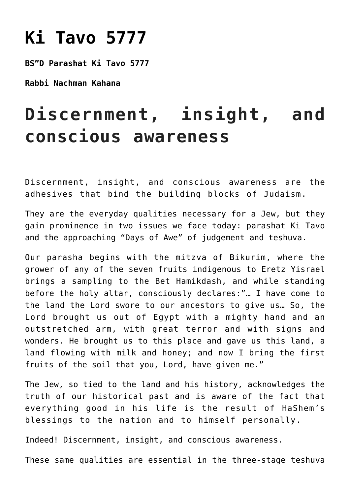## **[Ki Tavo 5777](https://nachmankahana.com/ki-tavo-5777/)**

**BS"D Parashat Ki Tavo 5777**

**Rabbi Nachman Kahana**

## **Discernment, insight, and conscious awareness**

Discernment, insight, and conscious awareness are the adhesives that bind the building blocks of Judaism.

They are the everyday qualities necessary for a Jew, but they gain prominence in two issues we face today: parashat Ki Tavo and the approaching "Days of Awe" of judgement and teshuva.

Our parasha begins with the mitzva of Bikurim, where the grower of any of the seven fruits indigenous to Eretz Yisrael brings a sampling to the Bet Hamikdash, and while standing before the holy altar, consciously declares:"… I have come to the land the Lord swore to our ancestors to give us… So, the Lord brought us out of Egypt with a mighty hand and an outstretched arm, with great terror and with signs and wonders. He brought us to this place and gave us this land, a land flowing with milk and honey; and now I bring the first fruits of the soil that you, Lord, have given me."

The Jew, so tied to the land and his history, acknowledges the truth of our historical past and is aware of the fact that everything good in his life is the result of HaShem's blessings to the nation and to himself personally.

Indeed! Discernment, insight, and conscious awareness.

These same qualities are essential in the three-stage teshuva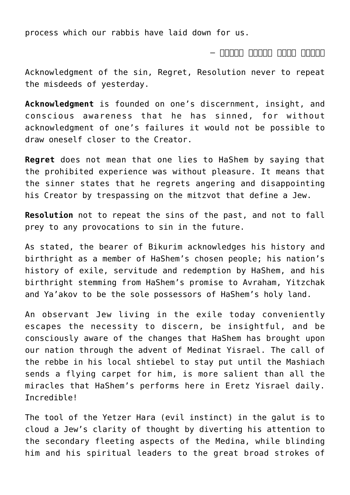process which our rabbis have laid down for us.

## וחמת מממם – המממה – ה

Acknowledgment of the sin, Regret, Resolution never to repeat the misdeeds of yesterday.

**Acknowledgment** is founded on one's discernment, insight, and conscious awareness that he has sinned, for without acknowledgment of one's failures it would not be possible to draw oneself closer to the Creator.

**Regret** does not mean that one lies to HaShem by saying that the prohibited experience was without pleasure. It means that the sinner states that he regrets angering and disappointing his Creator by trespassing on the mitzvot that define a Jew.

**Resolution** not to repeat the sins of the past, and not to fall prey to any provocations to sin in the future.

As stated, the bearer of Bikurim acknowledges his history and birthright as a member of HaShem's chosen people; his nation's history of exile, servitude and redemption by HaShem, and his birthright stemming from HaShem's promise to Avraham, Yitzchak and Ya'akov to be the sole possessors of HaShem's holy land.

An observant Jew living in the exile today conveniently escapes the necessity to discern, be insightful, and be consciously aware of the changes that HaShem has brought upon our nation through the advent of Medinat Yisrael. The call of the rebbe in his local shtiebel to stay put until the Mashiach sends a flying carpet for him, is more salient than all the miracles that HaShem's performs here in Eretz Yisrael daily. Incredible!

The tool of the Yetzer Hara (evil instinct) in the galut is to cloud a Jew's clarity of thought by diverting his attention to the secondary fleeting aspects of the Medina, while blinding him and his spiritual leaders to the great broad strokes of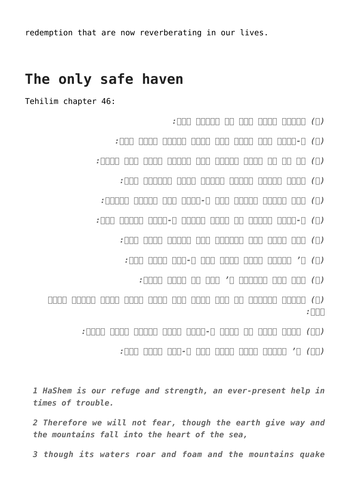redemption that are now reverberating in our lives.

## **The only safe haven**

Tehilim chapter 46:

- *(א) למנצח לבני קרח על עלמות שיר:*
- *(ב) א-להים לנו מחסה ועז עזרה בצרות נמצא מאד:*
- *(ג) על כן לא נירא בהמיר ארץ ובמוט הרים בלב ימים:*
	- *(ד) יהמו יחמרו מימיו ירעשו הרים בגאותו סלה:*
	- *(ה) נהר פלגיו ישמחו עיר א-להים קדש משכני עליון:*
- *(ו) א-להים בקרבה בל תמוט יעזרה א-להים לפנות בקר:*
	- *(ז) המו גוים מטו ממלכות נתן בקולו תמוג ארץ:*
		- *(ח) ה' צבאות עמנו משגב לנו א-להי יעקב סלה:*
			- *(ט) לכו חזו מפעלות ה' אשר שם שמות בארץ:*

*(י) משבית מלחמות עד קצה הארץ קשת ישבר וקצץ חנית עגלות ישרף באש:*

- *(יא) הרפו ודעו כי אנכי א-להים ארום בגוים ארום בארץ:*
	- *(יב) ה' צבאות עמנו משגב לנו א-להי יעקב סלה:*

*1 HaShem is our refuge and strength, an ever-present help in times of trouble.*

*2 Therefore we will not fear, though the earth give way and the mountains fall into the heart of the sea,*

*3 though its waters roar and foam and the mountains quake*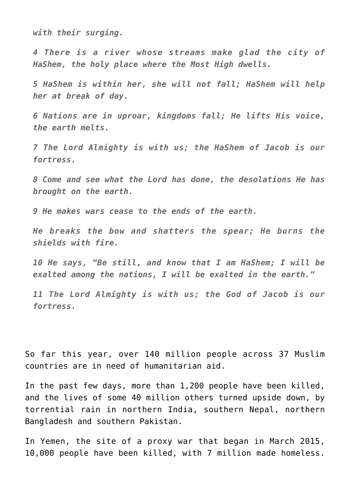*with their surging.*

*4 There is a river whose streams make glad the city of HaShem, the holy place where the Most High dwells.*

*5 HaShem is within her, she will not fall; HaShem will help her at break of day.*

*6 Nations are in uproar, kingdoms fall; He lifts His voice, the earth melts.*

*7 The Lord Almighty is with us; the HaShem of Jacob is our fortress.*

*8 Come and see what the Lord has done, the desolations He has brought on the earth.*

*9 He makes wars cease to the ends of the earth.*

*He breaks the bow and shatters the spear; He burns the shields with fire.*

*10 He says, "Be still, and know that I am HaShem; I will be exalted among the nations, I will be exalted in the earth."*

*11 The Lord Almighty is with us; the God of Jacob is our fortress.*

So far this year, over 140 million people across 37 Muslim countries are in need of humanitarian aid.

In the past few days, more than 1,200 people have been killed, and the lives of some 40 million others turned upside down, by torrential rain in northern India, southern Nepal, northern Bangladesh and southern Pakistan.

In Yemen, the site of a proxy war that began in March 2015, 10,000 people have been killed, with 7 million made homeless.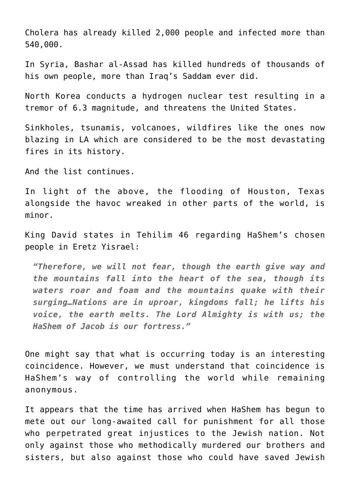Cholera has already killed 2,000 people and infected more than 540,000.

In Syria, Bashar al-Assad has killed hundreds of thousands of his own people, more than Iraq's Saddam ever did.

North Korea conducts a hydrogen nuclear test resulting in a tremor of 6.3 magnitude, and threatens the United States.

Sinkholes, tsunamis, volcanoes, wildfires like the ones now blazing in LA which are considered to be the most devastating fires in its history.

And the list continues.

In light of the above, the flooding of Houston, Texas alongside the havoc wreaked in other parts of the world, is minor.

King David states in Tehilim 46 regarding HaShem's chosen people in Eretz Yisrael:

*"Therefore, we will not fear, though the earth give way and the mountains fall into the heart of the sea, though its waters roar and foam and the mountains quake with their surging…Nations are in uproar, kingdoms fall; he lifts his voice, the earth melts. The Lord Almighty is with us; the HaShem of Jacob is our fortress."*

One might say that what is occurring today is an interesting coincidence. However, we must understand that coincidence is HaShem's way of controlling the world while remaining anonymous.

It appears that the time has arrived when HaShem has begun to mete out our long-awaited call for punishment for all those who perpetrated great injustices to the Jewish nation. Not only against those who methodically murdered our brothers and sisters, but also against those who could have saved Jewish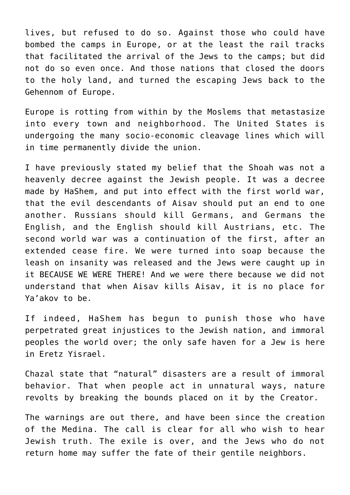lives, but refused to do so. Against those who could have bombed the camps in Europe, or at the least the rail tracks that facilitated the arrival of the Jews to the camps; but did not do so even once. And those nations that closed the doors to the holy land, and turned the escaping Jews back to the Gehennom of Europe.

Europe is rotting from within by the Moslems that metastasize into every town and neighborhood. The United States is undergoing the many socio-economic cleavage lines which will in time permanently divide the union.

I have previously stated my belief that the Shoah was not a heavenly decree against the Jewish people. It was a decree made by HaShem, and put into effect with the first world war, that the evil descendants of Aisav should put an end to one another. Russians should kill Germans, and Germans the English, and the English should kill Austrians, etc. The second world war was a continuation of the first, after an extended cease fire. We were turned into soap because the leash on insanity was released and the Jews were caught up in it BECAUSE WE WERE THERE! And we were there because we did not understand that when Aisav kills Aisav, it is no place for Ya'akov to be.

If indeed, HaShem has begun to punish those who have perpetrated great injustices to the Jewish nation, and immoral peoples the world over; the only safe haven for a Jew is here in Eretz Yisrael.

Chazal state that "natural" disasters are a result of immoral behavior. That when people act in unnatural ways, nature revolts by breaking the bounds placed on it by the Creator.

The warnings are out there, and have been since the creation of the Medina. The call is clear for all who wish to hear Jewish truth. The exile is over, and the Jews who do not return home may suffer the fate of their gentile neighbors.